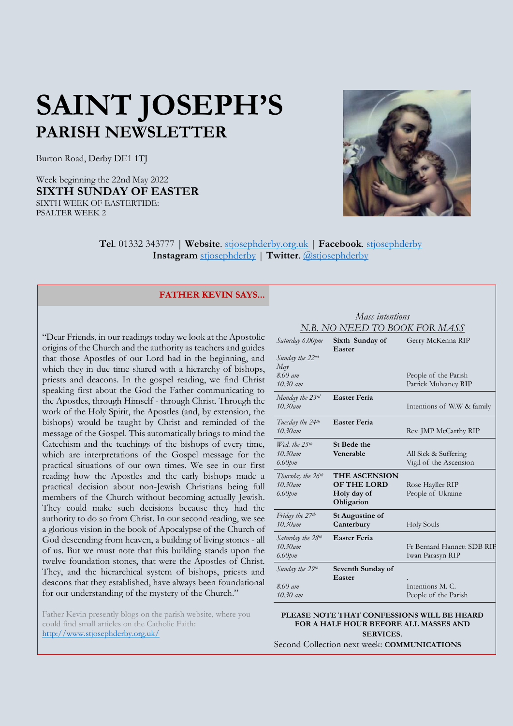# **SAINT JOSEPH'S PARISH NEWSLETTER**

Burton Road, Derby DE1 1TJ

Week beginning the 22nd May 2022 **SIXTH SUNDAY OF EASTER** SIXTH WEEK OF EASTERTIDE: PSALTER WEEK 2



**Tel**. 01332 343777 | **Website**. [stjosephderby.org.uk](http://www.stjosephderby.org.uk/) | **Facebook**. [stjosephderby](https://www.facebook.com/stjosephderby) **Instagram** [stjosephderby](https://www.instagram.com/stjosephderby/) | **Twitter**. [@stjosephderby](https://twitter.com/stjosephderby)

#### **FATHER KEVIN SAYS...**

"Dear Friends, in our readings today we look at the Apostolic origins of the Church and the authority as teachers and guides that those Apostles of our Lord had in the beginning, and which they in due time shared with a hierarchy of bishops, priests and deacons. In the gospel reading, we find Christ speaking first about the God the Father communicating to the Apostles, through Himself - through Christ. Through the work of the Holy Spirit, the Apostles (and, by extension, the bishops) would be taught by Christ and reminded of the message of the Gospel. This automatically brings to mind the Catechism and the teachings of the bishops of every time, which are interpretations of the Gospel message for the practical situations of our own times. We see in our first reading how the Apostles and the early bishops made a practical decision about non-Jewish Christians being full members of the Church without becoming actually Jewish. They could make such decisions because they had the authority to do so from Christ. In our second reading, we see a glorious vision in the book of Apocalypse of the Church of God descending from heaven, a building of living stones - all of us. But we must note that this building stands upon the twelve foundation stones, that were the Apostles of Christ. They, and the hierarchical system of bishops, priests and deacons that they established, have always been foundational for our understanding of the mystery of the Church."

Father Kevin presently blogs on the parish website, where you could find small articles on the Catholic Faith: <http://www.stjosephderby.org.uk/>

# *Mass intentions N.B. NO NEED TO BOOK FOR MASS*

| Saturday 6.00pm<br>Sunday the 22nd                       | Sixth Sunday of<br>Easter                                               | Gerry McKenna RIP                              |
|----------------------------------------------------------|-------------------------------------------------------------------------|------------------------------------------------|
| May<br>8.00 am<br>$10.30 \;$ am                          |                                                                         | People of the Parish<br>Patrick Mulvaney RIP   |
| Monday the 23rd<br>$10.30$ am                            | <b>Easter Feria</b>                                                     | Intentions of W.W & family                     |
| Tuesday the 24 <sup>th</sup><br>$10.30$ am               | <b>Easter Feria</b>                                                     | Rev. JMP McCarthy RIP                          |
| Wed, the $25$ <sup>th</sup><br>$10.30$ am<br>$6.00$ pm   | St Bede the<br>Venerable                                                | All Sick & Suffering<br>Vigil of the Ascension |
| Thursday the 26 <sup>th</sup><br>$10.30$ am<br>$6.00$ pm | <b>THE ASCENSION</b><br><b>OF THE LORD</b><br>Holy day of<br>Obligation | Rose Hayller RIP<br>People of Ukraine          |
| Friday the 27 <sup>th</sup><br>$10.30$ am                | <b>St Augustine of</b><br>Canterbury                                    | <b>Holy Souls</b>                              |
| Saturday the 28th<br>$10.30$ am<br>$6.00$ pm             | <b>Easter Feria</b>                                                     | Fr Bernard Hannett SDB RIF<br>Iwan Parasyn RIP |
| Sunday the 29th<br>$8.00$ am<br>$10.30$ am               | Seventh Sunday of<br>Easter                                             | Intentions M.C.<br>People of the Parish        |

#### **PLEASE NOTE THAT CONFESSIONS WILL BE HEARD FOR A HALF HOUR BEFORE ALL MASSES AND SERVICES**.

Second Collection next week: **COMMUNICATIONS**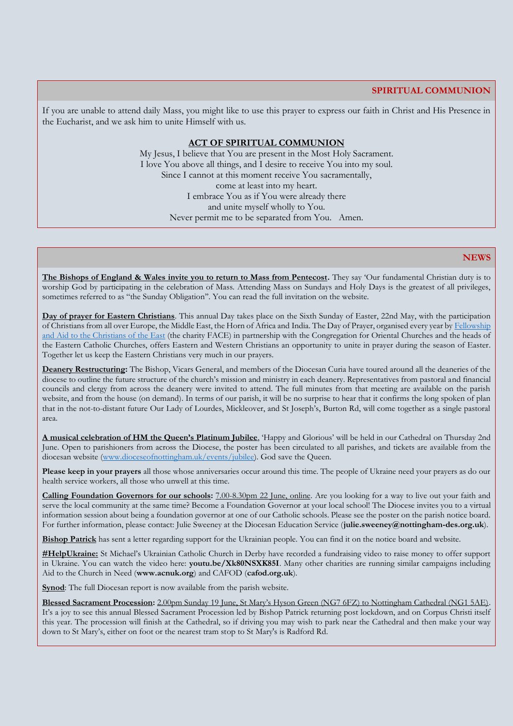### **SPIRITUAL COMMUNION**

If you are unable to attend daily Mass, you might like to use this prayer to express our faith in Christ and His Presence in the Eucharist, and we ask him to unite Himself with us.

#### **ACT OF SPIRITUAL COMMUNION**

My Jesus, I believe that You are present in the Most Holy Sacrament. I love You above all things, and I desire to receive You into my soul. Since I cannot at this moment receive You sacramentally, come at least into my heart. I embrace You as if You were already there and unite myself wholly to You. Never permit me to be separated from You. Amen.

#### **NEWS**

**The Bishops of England & Wales invite you to return to Mass from Pentecost.** They say 'Our fundamental Christian duty is to worship God by participating in the celebration of Mass. Attending Mass on Sundays and Holy Days is the greatest of all privileges, sometimes referred to as "the Sunday Obligation''. You can read the full invitation on the website.

**Day of prayer for Eastern Christians**. This annual Day takes place on the Sixth Sunday of Easter, 22nd May, with the participation of Christians from all over Europe, the Middle East, the Horn of Africa and India. The Day of Prayer, organised every year by [Fellowship](https://facecharity.org/)  and Aid [to the Christians of the East](https://facecharity.org/) (the charity FACE) in partnership with the Congregation for Oriental Churches and the heads of the Eastern Catholic Churches, offers Eastern and Western Christians an opportunity to unite in prayer during the season of Easter. Together let us keep the Eastern Christians very much in our prayers.

**Deanery Restructuring:** The Bishop, Vicars General, and members of the Diocesan Curia have toured around all the deaneries of the diocese to outline the future structure of the church's mission and ministry in each deanery. Representatives from pastoral and financial councils and clergy from across the deanery were invited to attend. The full minutes from that meeting are available on the parish website, and from the house (on demand). In terms of our parish, it will be no surprise to hear that it confirms the long spoken of plan that in the not-to-distant future Our Lady of Lourdes, Mickleover, and St Joseph's, Burton Rd, will come together as a single pastoral area.

**A musical celebration of HM the Queen's Platinum Jubilee**, 'Happy and Glorious' will be held in our Cathedral on Thursday 2nd June. Open to parishioners from across the Diocese, the poster has been circulated to all parishes, and tickets are available from the diocesan website [\(www.dioceseofnottingham.uk/events/jubilee\)](www.dioceseofnottingham.uk/events/jubilee). God save the Queen.

**Please keep in your prayers** all those whose anniversaries occur around this time. The people of Ukraine need your prayers as do our health service workers, all those who unwell at this time.

**Calling Foundation Governors for our schools:** 7.00-8.30pm 22 June, online. Are you looking for a way to live out your faith and serve the local community at the same time? Become a Foundation Governor at your local school! The Diocese invites you to a virtual information session about being a foundation governor at one of our Catholic schools. Please see the poster on the parish notice board. For further information, please contact: Julie Sweeney at the Diocesan Education Service (**julie.sweeney@nottingham-des.org.uk**).

**Bishop Patrick** has sent a letter regarding support for the Ukrainian people. You can find it on the notice board and website.

**#HelpUkraine:** St Michael's Ukrainian Catholic Church in Derby have recorded a fundraising video to raise money to offer support in Ukraine. You can watch the video here: **youtu.be/Xk80NSXK85I**. Many other charities are running similar campaigns including Aid to the Church in Need (**[www.acnuk.org](http://www.acnuk.org/)**) and CAFOD (**cafod.org.uk**).

**Synod**: The full Diocesan report is now available from the parish website.

**Blessed Sacrament Procession:** 2.00pm Sunday 19 June, St Mary's Hyson Green (NG7 6FZ) to Nottingham Cathedral (NG1 5AE). It's a joy to see this annual Blessed Sacrament Procession led by Bishop Patrick returning post lockdown, and on Corpus Christi itself this year. The procession will finish at the Cathedral, so if driving you may wish to park near the Cathedral and then make your way down to St Mary's, either on foot or the nearest tram stop to St Mary's is Radford Rd.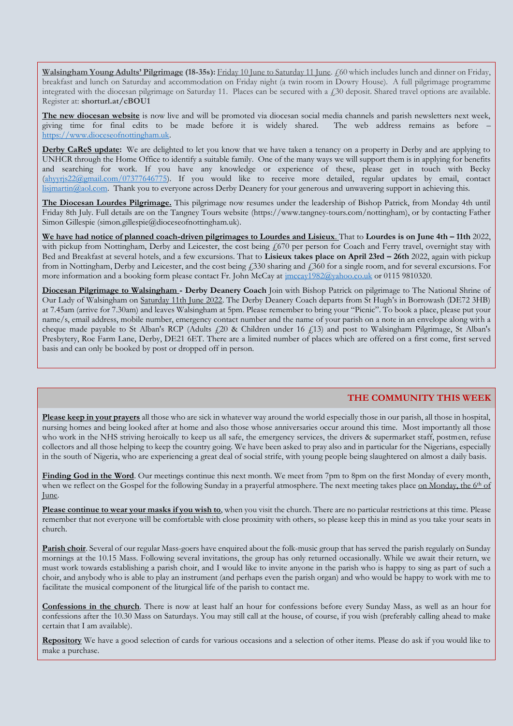**Walsingham Young Adults' Pilgrimage** (18-35s): Friday 10 June to Saturday 11 June. £60 which includes lunch and dinner on Friday, breakfast and lunch on Saturday and accommodation on Friday night (a twin room in Dowry House). A full pilgrimage programme integrated with the diocesan pilgrimage on Saturday 11. Places can be secured with a  $\ell$  30 deposit. Shared travel options are available. Register at: **[shorturl.at/cBOU1](http://shorturl.at/cBOU1)**

**The new diocesan website** is now live and will be promoted via diocesan social media channels and parish newsletters next week, giving time for final edits to be made before it is widely shared. The web address remains as before – [https://www.dioceseofnottingham.uk.](https://www.dioceseofnottingham.uk/)

**Derby CaReS update:** We are delighted to let you know that we have taken a tenancy on a property in Derby and are applying to UNHCR through the Home Office to identify a suitable family. One of the many ways we will support them is in applying for benefits and searching for work. If you have any knowledge or experience of these, please get in touch with Becky  $\frac{1}{(ahvvi s22 (\text{d}gmail.com/07377646775)})$ . If you would like to receive more detailed, regular updates by email, contact [lisjmartin@aol.com.](mailto:lisjmartin@aol.com) Thank you to everyone across Derby Deanery for your generous and unwavering support in achieving this.

**The Diocesan Lourdes Pilgrimage.** This pilgrimage now resumes under the leadership of Bishop Patrick, from Monday 4th until Friday 8th July. Full details are on the Tangney Tours website (https://www.tangney-tours.com/nottingham), or by contacting Father Simon Gillespie (simon.gillespie@dioceseofnottingham.uk).

**We have had notice of planned coach-driven pilgrimages to Lourdes and Lisieux**. That to **Lourdes is on June 4th – 11th** 2022, with pickup from Nottingham, Derby and Leicester, the cost being £670 per person for Coach and Ferry travel, overnight stay with Bed and Breakfast at several hotels, and a few excursions. That to **Lisieux takes place on April 23rd – 26th** 2022, again with pickup from in Nottingham, Derby and Leicester, and the cost being  $f<sub>330</sub>$  sharing and  $f<sub>360</sub>$  for a single room, and for several excursions. For more information and a booking form please contact Fr. John McCay at  $\frac{1}{2}$  imccay1982@yahoo.co.uk or 0115 9810320.

**Diocesan Pilgrimage to Walsingham - Derby Deanery Coach** Join with Bishop Patrick on pilgrimage to The National Shrine of Our Lady of Walsingham on Saturday 11th June 2022. The Derby Deanery Coach departs from St Hugh's in Borrowash (DE72 3HB) at 7.45am (arrive for 7.30am) and leaves Walsingham at 5pm. Please remember to bring your "Picnic". To book a place, please put your name/s, email address, mobile number, emergency contact number and the name of your parish on a note in an envelope along with a cheque made payable to St Alban's RCP (Adults  $f20$  & Children under 16  $f13$ ) and post to Walsingham Pilgrimage, St Alban's Presbytery, Roe Farm Lane, Derby, DE21 6ET. There are a limited number of places which are offered on a first come, first served basis and can only be booked by post or dropped off in person.

## **THE COMMUNITY THIS WEEK**

**Please keep in your prayers** all those who are sick in whatever way around the world especially those in our parish, all those in hospital, nursing homes and being looked after at home and also those whose anniversaries occur around this time. Most importantly all those who work in the NHS striving heroically to keep us all safe, the emergency services, the drivers & supermarket staff, postmen, refuse collectors and all those helping to keep the country going. We have been asked to pray also and in particular for the Nigerians, especially in the south of Nigeria, who are experiencing a great deal of social strife, with young people being slaughtered on almost a daily basis.

**Finding God in the Word**. Our meetings continue this next month. We meet from 7pm to 8pm on the first Monday of every month, when we reflect on the Gospel for the following Sunday in a prayerful atmosphere. The next meeting takes place on Monday, the 6<sup>th</sup> of June.

**Please continue to wear your masks if you wish to**, when you visit the church. There are no particular restrictions at this time. Please remember that not everyone will be comfortable with close proximity with others, so please keep this in mind as you take your seats in church.

**Parish choir**. Several of our regular Mass-goers have enquired about the folk-music group that has served the parish regularly on Sunday mornings at the 10.15 Mass. Following several invitations, the group has only returned occasionally. While we await their return, we must work towards establishing a parish choir, and I would like to invite anyone in the parish who is happy to sing as part of such a choir, and anybody who is able to play an instrument (and perhaps even the parish organ) and who would be happy to work with me to facilitate the musical component of the liturgical life of the parish to contact me.

**Confessions in the church**. There is now at least half an hour for confessions before every Sunday Mass, as well as an hour for confessions after the 10.30 Mass on Saturdays. You may still call at the house, of course, if you wish (preferably calling ahead to make certain that I am available).

**Repository** We have a good selection of cards for various occasions and a selection of other items. Please do ask if you would like to make a purchase.